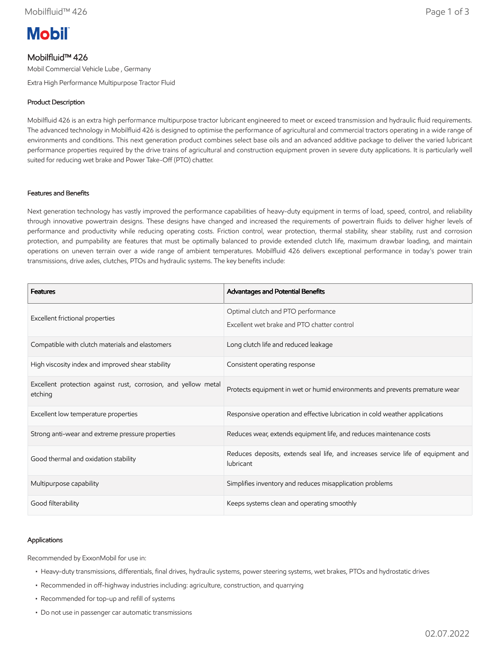

# Mobilfluid™ 426

Mobil Commercial Vehicle Lube , Germany

Extra High Performance Multipurpose Tractor Fluid

## Product Description

Mobilfluid 426 is an extra high performance multipurpose tractor lubricant engineered to meet or exceed transmission and hydraulic fluid requirements. The advanced technology in Mobilfluid 426 is designed to optimise the performance of agricultural and commercial tractors operating in a wide range of environments and conditions. This next generation product combines select base oils and an advanced additive package to deliver the varied lubricant performance properties required by the drive trains of agricultural and construction equipment proven in severe duty applications. It is particularly well suited for reducing wet brake and Power Take-Off (PTO) chatter.

### Features and Benefits

Next generation technology has vastly improved the performance capabilities of heavy-duty equipment in terms of load, speed, control, and reliability through innovative powertrain designs. These designs have changed and increased the requirements of powertrain fluids to deliver higher levels of performance and productivity while reducing operating costs. Friction control, wear protection, thermal stability, shear stability, rust and corrosion protection, and pumpability are features that must be optimally balanced to provide extended clutch life, maximum drawbar loading, and maintain operations on uneven terrain over a wide range of ambient temperatures. Mobilfluid 426 delivers exceptional performance in today's power train transmissions, drive axles, clutches, PTOs and hydraulic systems. The key benefits include:

| <b>Features</b>                                                           | Advantages and Potential Benefits                                                             |
|---------------------------------------------------------------------------|-----------------------------------------------------------------------------------------------|
| Excellent frictional properties                                           | Optimal clutch and PTO performance<br>Excellent wet brake and PTO chatter control             |
| Compatible with clutch materials and elastomers                           | Long clutch life and reduced leakage                                                          |
| High viscosity index and improved shear stability                         | Consistent operating response                                                                 |
| Excellent protection against rust, corrosion, and yellow metal<br>etching | Protects equipment in wet or humid environments and prevents premature wear                   |
| Excellent low temperature properties                                      | Responsive operation and effective lubrication in cold weather applications                   |
| Strong anti-wear and extreme pressure properties                          | Reduces wear, extends equipment life, and reduces maintenance costs                           |
| Good thermal and oxidation stability                                      | Reduces deposits, extends seal life, and increases service life of equipment and<br>lubricant |
| Multipurpose capability                                                   | Simplifies inventory and reduces misapplication problems                                      |
| Good filterability                                                        | Keeps systems clean and operating smoothly                                                    |

#### Applications

Recommended by ExxonMobil for use in:

- Heavy-duty transmissions, differentials, final drives, hydraulic systems, power steering systems, wet brakes, PTOs and hydrostatic drives
- Recommended in off-highway industries including: agriculture, construction, and quarrying
- Recommended for top-up and refill of systems
- Do not use in passenger car automatic transmissions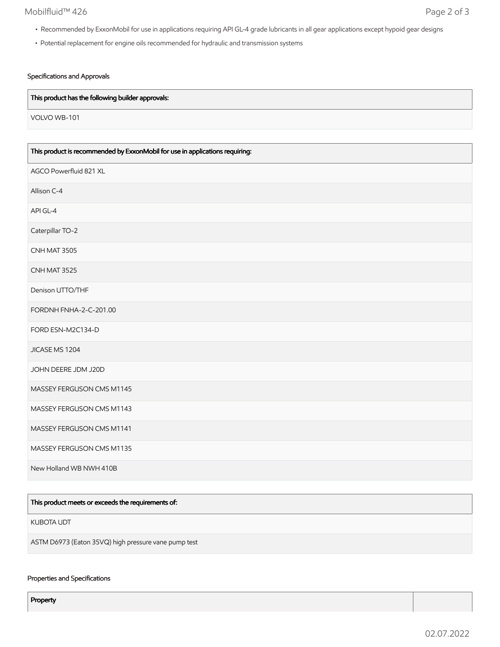## Mobilfluid™ 426 Page 2 of 3

- Recommended by ExxonMobil for use in applications requiring API GL-4 grade lubricants in all gear applications except hypoid gear designs
- Potential replacement for engine oils recommended for hydraulic and transmission systems

### Specifications and Approvals

### This product has the following builder approvals:

VOLVO WB-101

| This product is recommended by ExxonMobil for use in applications requiring: |  |
|------------------------------------------------------------------------------|--|
| AGCO Powerfluid 821 XL                                                       |  |
| Allison C-4                                                                  |  |
| API GL-4                                                                     |  |
| Caterpillar TO-2                                                             |  |
| CNH MAT 3505                                                                 |  |
| CNH MAT 3525                                                                 |  |
| Denison UTTO/THF                                                             |  |
| FORDNH FNHA-2-C-201.00                                                       |  |
| FORD ESN-M2C134-D                                                            |  |
| JICASE MS 1204                                                               |  |
| JOHN DEERE JDM J20D                                                          |  |
| MASSEY FERGUSON CMS M1145                                                    |  |
| MASSEY FERGUSON CMS M1143                                                    |  |
| MASSEY FERGUSON CMS M1141                                                    |  |
| MASSEY FERGUSON CMS M1135                                                    |  |
| New Holland WB NWH 410B                                                      |  |

| This product meets or exceeds the requirements of:   |
|------------------------------------------------------|
| KUBOTA UDT                                           |
| ASTM D6973 (Eaton 35VQ) high pressure vane pump test |

### Properties and Specifications

Property